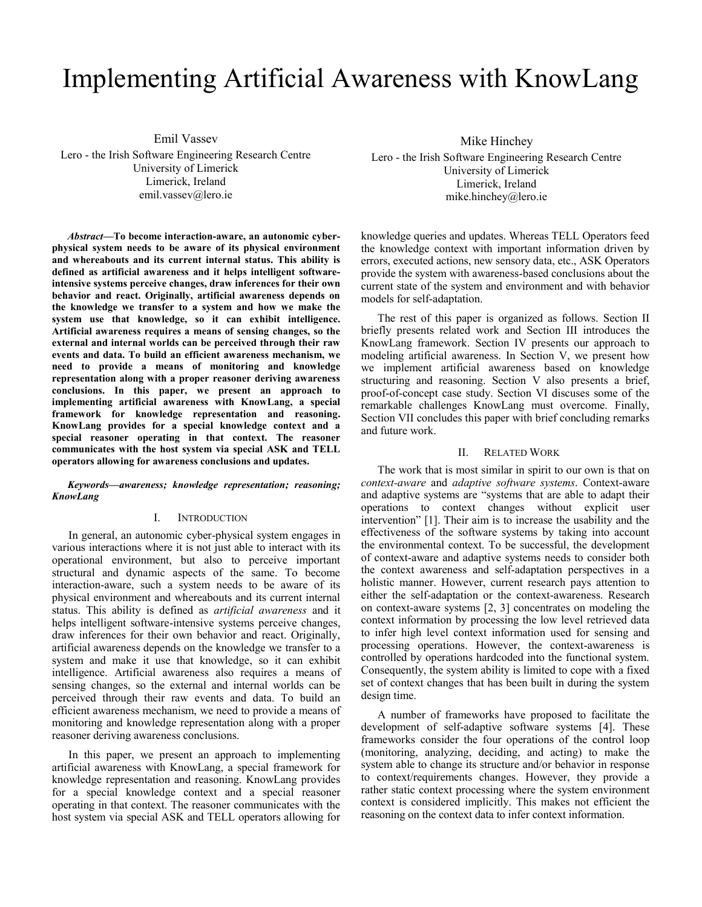# Implementing Artificial Awareness with KnowLang

Emil Vassev Lero - the Irish Software Engineering Research Centre University of Limerick Limerick, Ireland emil.vassev@lero.ie

*Abstract***—To become interaction-aware, an autonomic cyberphysical system needs to be aware of its physical environment and whereabouts and its current internal status. This ability is defined as artificial awareness and it helps intelligent softwareintensive systems perceive changes, draw inferences for their own behavior and react. Originally, artificial awareness depends on the knowledge we transfer to a system and how we make the system use that knowledge, so it can exhibit intelligence. Artificial awareness requires a means of sensing changes, so the external and internal worlds can be perceived through their raw events and data. To build an efficient awareness mechanism, we need to provide a means of monitoring and knowledge representation along with a proper reasoner deriving awareness conclusions. In this paper, we present an approach to implementing artificial awareness with KnowLang, a special framework for knowledge representation and reasoning. KnowLang provides for a special knowledge context and a special reasoner operating in that context. The reasoner communicates with the host system via special ASK and TELL operators allowing for awareness conclusions and updates.**

## *Keywords—awareness; knowledge representation; reasoning; KnowLang*

## I. INTRODUCTION

In general, an autonomic cyber-physical system engages in various interactions where it is not just able to interact with its operational environment, but also to perceive important structural and dynamic aspects of the same. To become interaction-aware, such a system needs to be aware of its physical environment and whereabouts and its current internal status. This ability is defined as *artificial awareness* and it helps intelligent software-intensive systems perceive changes, draw inferences for their own behavior and react. Originally, artificial awareness depends on the knowledge we transfer to a system and make it use that knowledge, so it can exhibit intelligence. Artificial awareness also requires a means of sensing changes, so the external and internal worlds can be perceived through their raw events and data. To build an efficient awareness mechanism, we need to provide a means of monitoring and knowledge representation along with a proper reasoner deriving awareness conclusions.

In this paper, we present an approach to implementing artificial awareness with KnowLang, a special framework for knowledge representation and reasoning. KnowLang provides for a special knowledge context and a special reasoner operating in that context. The reasoner communicates with the host system via special ASK and TELL operators allowing for

Mike Hinchey Lero - the Irish Software Engineering Research Centre University of Limerick Limerick, Ireland mike.hinchey@lero.ie

knowledge queries and updates. Whereas TELL Operators feed the knowledge context with important information driven by errors, executed actions, new sensory data, etc., ASK Operators provide the system with awareness-based conclusions about the current state of the system and environment and with behavior models for self-adaptation.

The rest of this paper is organized as follows. Section II briefly presents related work and Section III introduces the KnowLang framework. Section IV presents our approach to modeling artificial awareness. In Section V, we present how we implement artificial awareness based on knowledge structuring and reasoning. Section V also presents a brief, proof-of-concept case study. Section VI discuses some of the remarkable challenges KnowLang must overcome. Finally, Section VII concludes this paper with brief concluding remarks and future work.

## II. RELATED WORK

The work that is most similar in spirit to our own is that on *context-aware* and *adaptive software systems*. Context-aware and adaptive systems are "systems that are able to adapt their operations to context changes without explicit user intervention" [1]. Their aim is to increase the usability and the effectiveness of the software systems by taking into account the environmental context. To be successful, the development of context-aware and adaptive systems needs to consider both the context awareness and self-adaptation perspectives in a holistic manner. However, current research pays attention to either the self-adaptation or the context-awareness. Research on context-aware systems [2, 3] concentrates on modeling the context information by processing the low level retrieved data to infer high level context information used for sensing and processing operations. However, the context-awareness is controlled by operations hardcoded into the functional system. Consequently, the system ability is limited to cope with a fixed set of context changes that has been built in during the system design time.

A number of frameworks have proposed to facilitate the development of self-adaptive software systems [4]. These frameworks consider the four operations of the control loop (monitoring, analyzing, deciding, and acting) to make the system able to change its structure and/or behavior in response to context/requirements changes. However, they provide a rather static context processing where the system environment context is considered implicitly. This makes not efficient the reasoning on the context data to infer context information.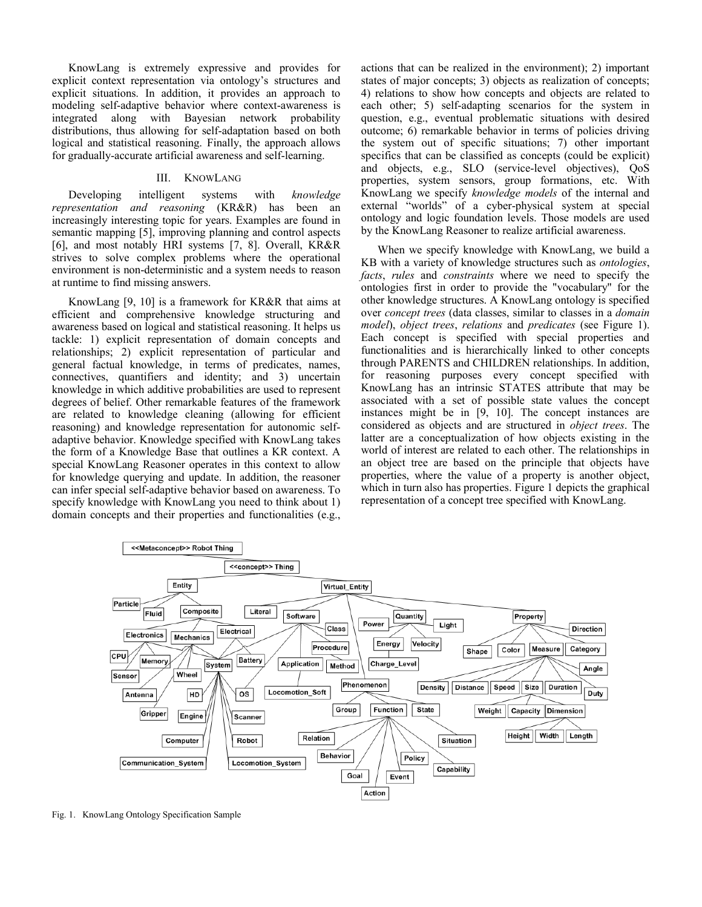KnowLang is extremely expressive and provides for explicit context representation via ontology's structures and explicit situations. In addition, it provides an approach to modeling self-adaptive behavior where context-awareness is integrated along with Bayesian network probability distributions, thus allowing for self-adaptation based on both logical and statistical reasoning. Finally, the approach allows for gradually-accurate artificial awareness and self-learning.

## III. KNOWLANG

Developing intelligent systems with *knowledge representation and reasoning* (KR&R) has been an increasingly interesting topic for years. Examples are found in semantic mapping [5], improving planning and control aspects [6], and most notably HRI systems [7, 8]. Overall, KR&R strives to solve complex problems where the operational environment is non-deterministic and a system needs to reason at runtime to find missing answers.

KnowLang [9, 10] is a framework for KR&R that aims at efficient and comprehensive knowledge structuring and awareness based on logical and statistical reasoning. It helps us tackle: 1) explicit representation of domain concepts and relationships; 2) explicit representation of particular and general factual knowledge, in terms of predicates, names, connectives, quantifiers and identity; and 3) uncertain knowledge in which additive probabilities are used to represent degrees of belief. Other remarkable features of the framework are related to knowledge cleaning (allowing for efficient reasoning) and knowledge representation for autonomic selfadaptive behavior. Knowledge specified with KnowLang takes the form of a Knowledge Base that outlines a KR context. A special KnowLang Reasoner operates in this context to allow for knowledge querying and update. In addition, the reasoner can infer special self-adaptive behavior based on awareness. To specify knowledge with KnowLang you need to think about 1) domain concepts and their properties and functionalities (e.g.,

actions that can be realized in the environment); 2) important states of major concepts; 3) objects as realization of concepts; 4) relations to show how concepts and objects are related to each other; 5) self-adapting scenarios for the system in question, e.g., eventual problematic situations with desired outcome; 6) remarkable behavior in terms of policies driving the system out of specific situations; 7) other important specifics that can be classified as concepts (could be explicit) and objects, e.g., SLO (service-level objectives), QoS properties, system sensors, group formations, etc. With KnowLang we specify *knowledge models* of the internal and external "worlds" of a cyber-physical system at special ontology and logic foundation levels. Those models are used by the KnowLang Reasoner to realize artificial awareness.

When we specify knowledge with KnowLang, we build a KB with a variety of knowledge structures such as *ontologies*, *facts*, *rules* and *constraints* where we need to specify the ontologies first in order to provide the "vocabulary" for the other knowledge structures. A KnowLang ontology is specified over *concept trees* (data classes, similar to classes in a *domain model*), *object trees*, *relations* and *predicates* (see Figure 1). Each concept is specified with special properties and functionalities and is hierarchically linked to other concepts through PARENTS and CHILDREN relationships. In addition, for reasoning purposes every concept specified with KnowLang has an intrinsic STATES attribute that may be associated with a set of possible state values the concept instances might be in [9, 10]. The concept instances are considered as objects and are structured in *object trees*. The latter are a conceptualization of how objects existing in the world of interest are related to each other. The relationships in an object tree are based on the principle that objects have properties, where the value of a property is another object, which in turn also has properties. Figure 1 depicts the graphical representation of a concept tree specified with KnowLang.



Fig. 1. KnowLang Ontology Specification Sample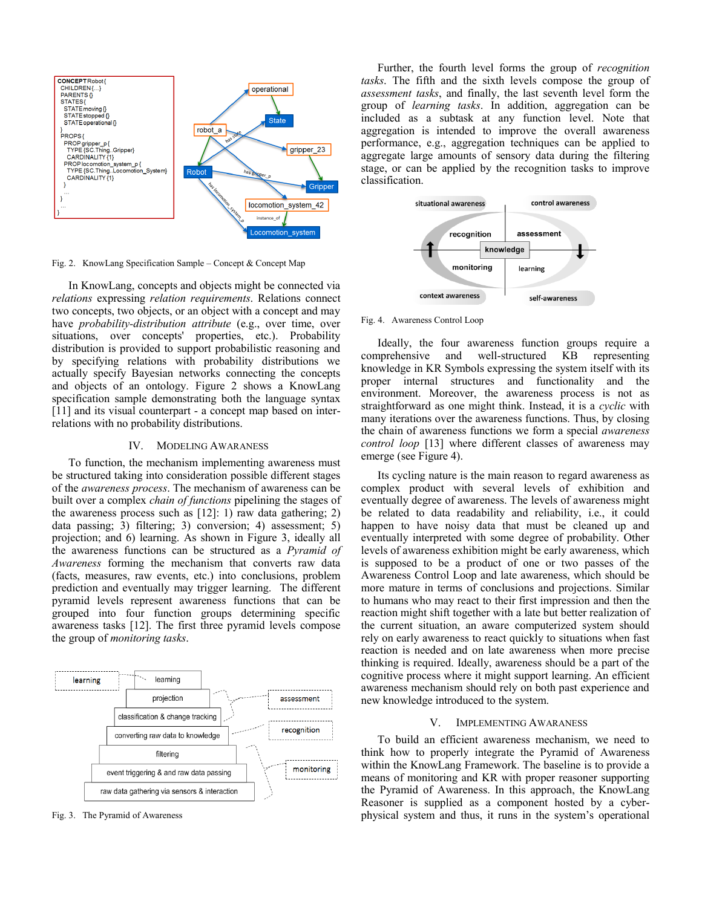

Fig. 2. KnowLang Specification Sample – Concept & Concept Map

In KnowLang, concepts and objects might be connected via *relations* expressing *relation requirements*. Relations connect two concepts, two objects, or an object with a concept and may have *probability-distribution attribute* (e.g., over time, over situations, over concepts' properties, etc.). Probability distribution is provided to support probabilistic reasoning and by specifying relations with probability distributions we actually specify Bayesian networks connecting the concepts and objects of an ontology. Figure 2 shows a KnowLang specification sample demonstrating both the language syntax [11] and its visual counterpart - a concept map based on interrelations with no probability distributions.

## IV. MODELING AWARANESS

To function, the mechanism implementing awareness must be structured taking into consideration possible different stages of the *awareness process*. The mechanism of awareness can be built over a complex *chain of functions* pipelining the stages of the awareness process such as [12]: 1) raw data gathering; 2) data passing; 3) filtering; 3) conversion; 4) assessment; 5) projection; and 6) learning. As shown in Figure 3, ideally all the awareness functions can be structured as a *Pyramid of Awareness* forming the mechanism that converts raw data (facts, measures, raw events, etc.) into conclusions, problem prediction and eventually may trigger learning. The different pyramid levels represent awareness functions that can be grouped into four function groups determining specific awareness tasks [12]. The first three pyramid levels compose the group of *monitoring tasks*.



Fig. 3. The Pyramid of Awareness

Further, the fourth level forms the group of *recognition tasks*. The fifth and the sixth levels compose the group of *assessment tasks*, and finally, the last seventh level form the group of *learning tasks*. In addition, aggregation can be included as a subtask at any function level. Note that aggregation is intended to improve the overall awareness performance, e.g., aggregation techniques can be applied to aggregate large amounts of sensory data during the filtering stage, or can be applied by the recognition tasks to improve classification.



Fig. 4. Awareness Control Loop

Ideally, the four awareness function groups require a comprehensive and well-structured KB representing knowledge in KR Symbols expressing the system itself with its proper internal structures and functionality and the environment. Moreover, the awareness process is not as straightforward as one might think. Instead, it is a *cyclic* with many iterations over the awareness functions. Thus, by closing the chain of awareness functions we form a special *awareness control loop* [13] where different classes of awareness may emerge (see Figure 4).

Its cycling nature is the main reason to regard awareness as complex product with several levels of exhibition and eventually degree of awareness. The levels of awareness might be related to data readability and reliability, i.e., it could happen to have noisy data that must be cleaned up and eventually interpreted with some degree of probability. Other levels of awareness exhibition might be early awareness, which is supposed to be a product of one or two passes of the Awareness Control Loop and late awareness, which should be more mature in terms of conclusions and projections. Similar to humans who may react to their first impression and then the reaction might shift together with a late but better realization of the current situation, an aware computerized system should rely on early awareness to react quickly to situations when fast reaction is needed and on late awareness when more precise thinking is required. Ideally, awareness should be a part of the cognitive process where it might support learning. An efficient awareness mechanism should rely on both past experience and new knowledge introduced to the system.

#### V. IMPLEMENTING AWARANESS

To build an efficient awareness mechanism, we need to think how to properly integrate the Pyramid of Awareness within the KnowLang Framework. The baseline is to provide a means of monitoring and KR with proper reasoner supporting the Pyramid of Awareness. In this approach, the KnowLang Reasoner is supplied as a component hosted by a cyberphysical system and thus, it runs in the system's operational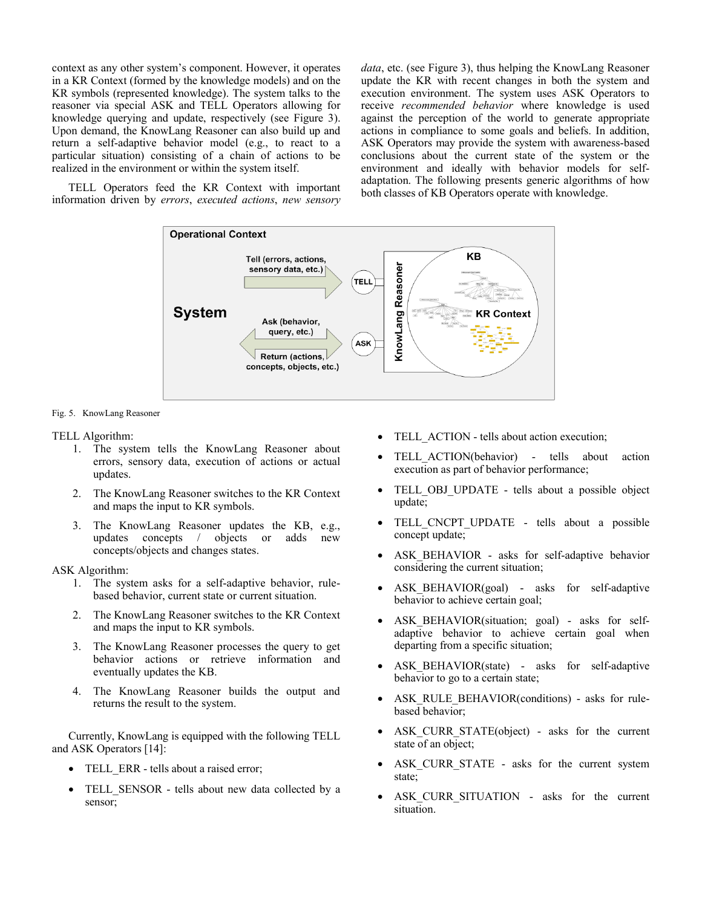context as any other system's component. However, it operates in a KR Context (formed by the knowledge models) and on the KR symbols (represented knowledge). The system talks to the reasoner via special ASK and TELL Operators allowing for knowledge querying and update, respectively (see Figure 3). Upon demand, the KnowLang Reasoner can also build up and return a self-adaptive behavior model (e.g., to react to a particular situation) consisting of a chain of actions to be realized in the environment or within the system itself.

TELL Operators feed the KR Context with important information driven by *errors*, *executed actions*, *new sensory*  *data*, etc. (see Figure 3), thus helping the KnowLang Reasoner update the KR with recent changes in both the system and execution environment. The system uses ASK Operators to receive *recommended behavior* where knowledge is used against the perception of the world to generate appropriate actions in compliance to some goals and beliefs. In addition, ASK Operators may provide the system with awareness-based conclusions about the current state of the system or the environment and ideally with behavior models for selfadaptation. The following presents generic algorithms of how both classes of KB Operators operate with knowledge.



#### Fig. 5. KnowLang Reasoner

- TELL Algorithm:
	- 1. The system tells the KnowLang Reasoner about errors, sensory data, execution of actions or actual updates.
	- 2. The KnowLang Reasoner switches to the KR Context and maps the input to KR symbols.
	- 3. The KnowLang Reasoner updates the KB, e.g., updates concepts / objects or adds new concepts/objects and changes states.

ASK Algorithm:

- 1. The system asks for a self-adaptive behavior, rulebased behavior, current state or current situation.
- 2. The KnowLang Reasoner switches to the KR Context and maps the input to KR symbols.
- 3. The KnowLang Reasoner processes the query to get behavior actions or retrieve information and eventually updates the KB.
- 4. The KnowLang Reasoner builds the output and returns the result to the system.

Currently, KnowLang is equipped with the following TELL and ASK Operators [14]:

- TELL\_ERR tells about a raised error;
- TELL\_SENSOR tells about new data collected by a sensor;
- TELL\_ACTION tells about action execution;
- TELL\_ACTION(behavior) tells about action execution as part of behavior performance;
- TELL OBJ UPDATE tells about a possible object update;
- TELL\_CNCPT\_UPDATE tells about a possible concept update;
- ASK\_BEHAVIOR asks for self-adaptive behavior considering the current situation;
- ASK BEHAVIOR(goal) asks for self-adaptive behavior to achieve certain goal;
- ASK BEHAVIOR(situation; goal) asks for selfadaptive behavior to achieve certain goal when departing from a specific situation;
- ASK BEHAVIOR(state) asks for self-adaptive behavior to go to a certain state;
- ASK\_RULE\_BEHAVIOR(conditions) asks for rulebased behavior;
- ASK\_CURR\_STATE(object) asks for the current state of an object;
- ASK CURR STATE asks for the current system state;
- ASK CURR SITUATION asks for the current situation.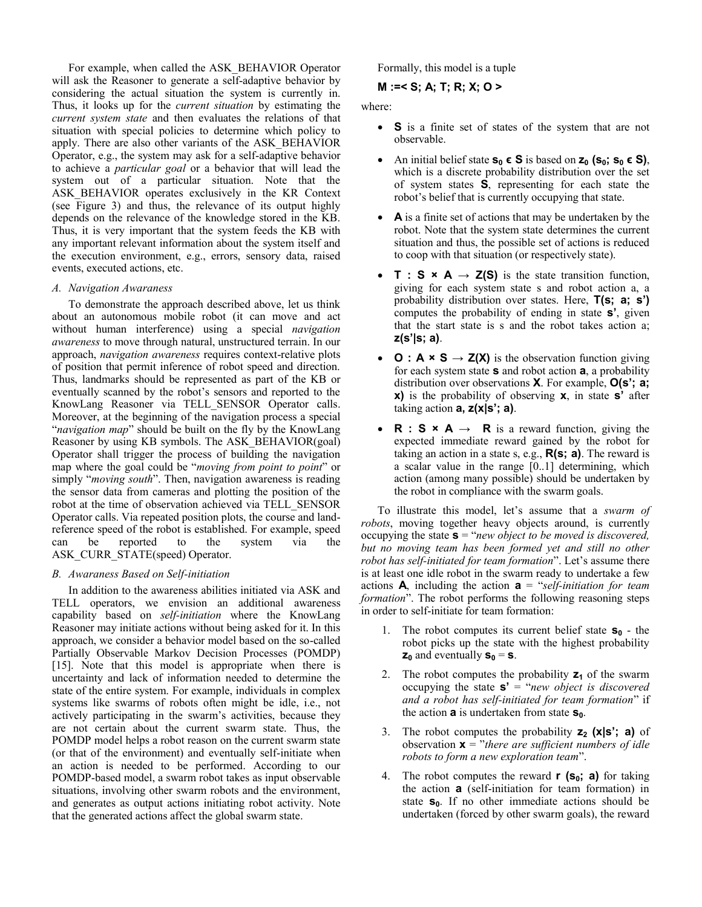For example, when called the ASK\_BEHAVIOR Operator will ask the Reasoner to generate a self-adaptive behavior by considering the actual situation the system is currently in. Thus, it looks up for the *current situation* by estimating the *current system state* and then evaluates the relations of that situation with special policies to determine which policy to apply. There are also other variants of the ASK\_BEHAVIOR Operator, e.g., the system may ask for a self-adaptive behavior to achieve a *particular goal* or a behavior that will lead the system out of a particular situation. Note that the ASK\_BEHAVIOR operates exclusively in the KR Context (see Figure 3) and thus, the relevance of its output highly depends on the relevance of the knowledge stored in the KB. Thus, it is very important that the system feeds the KB with any important relevant information about the system itself and the execution environment, e.g., errors, sensory data, raised events, executed actions, etc.

## *A. Navigation Awaraness*

To demonstrate the approach described above, let us think about an autonomous mobile robot (it can move and act without human interference) using a special *navigation awareness* to move through natural, unstructured terrain. In our approach, *navigation awareness* requires context-relative plots of position that permit inference of robot speed and direction. Thus, landmarks should be represented as part of the KB or eventually scanned by the robot's sensors and reported to the KnowLang Reasoner via TELL\_SENSOR Operator calls. Moreover, at the beginning of the navigation process a special "*navigation map*" should be built on the fly by the KnowLang Reasoner by using KB symbols. The ASK\_BEHAVIOR(goal) Operator shall trigger the process of building the navigation map where the goal could be "*moving from point to point*" or simply "*moving south*". Then, navigation awareness is reading the sensor data from cameras and plotting the position of the robot at the time of observation achieved via TELL\_SENSOR Operator calls. Via repeated position plots, the course and landreference speed of the robot is established. For example, speed can be reported to the system via the ASK\_CURR\_STATE(speed) Operator.

# *B. Awaraness Based on Self-initiation*

In addition to the awareness abilities initiated via ASK and TELL operators, we envision an additional awareness capability based on *self-initiation* where the KnowLang Reasoner may initiate actions without being asked for it. In this approach, we consider a behavior model based on the so-called Partially Observable Markov Decision Processes (POMDP) [15]. Note that this model is appropriate when there is uncertainty and lack of information needed to determine the state of the entire system. For example, individuals in complex systems like swarms of robots often might be idle, i.e., not actively participating in the swarm's activities, because they are not certain about the current swarm state. Thus, the POMDP model helps a robot reason on the current swarm state (or that of the environment) and eventually self-initiate when an action is needed to be performed. According to our POMDP-based model, a swarm robot takes as input observable situations, involving other swarm robots and the environment, and generates as output actions initiating robot activity. Note that the generated actions affect the global swarm state.

Formally, this model is a tuple

# **M :=< S; A; T; R; X; O >**

where:

- **S** is a finite set of states of the system that are not observable.
- An initial belief state  $s_0 \in S$  is based on  $z_0$  ( $s_0$ ;  $s_0 \in S$ ), which is a discrete probability distribution over the set of system states **S**, representing for each state the robot's belief that is currently occupying that state.
- **A** is a finite set of actions that may be undertaken by the robot. Note that the system state determines the current situation and thus, the possible set of actions is reduced to coop with that situation (or respectively state).
- **T :**  $S \times A \rightarrow Z(S)$  is the state transition function, giving for each system state s and robot action a, a probability distribution over states. Here, **T(s; a; s')** computes the probability of ending in state **s'**, given that the start state is s and the robot takes action a; **z(s'|s; a)**.
- **•**  $\mathbf{O}: \mathbf{A} \times \mathbf{S} \rightarrow \mathbf{Z}(\mathbf{X})$  is the observation function giving for each system state **s** and robot action **a**, a probability distribution over observations **X**. For example, **O(s'; a; x)** is the probability of observing **x**, in state **s'** after taking action **a, z(x|s'; a)**.
- $R : S \times A \rightarrow R$  is a reward function, giving the expected immediate reward gained by the robot for taking an action in a state s, e.g., **R(s; a)**. The reward is a scalar value in the range  $[0..1]$  determining, which action (among many possible) should be undertaken by the robot in compliance with the swarm goals.

To illustrate this model, let's assume that a *swarm of robots*, moving together heavy objects around, is currently occupying the state **s** = "*new object to be moved is discovered, but no moving team has been formed yet and still no other robot has self-initiated for team formation*". Let's assume there is at least one idle robot in the swarm ready to undertake a few actions **A**, including the action **a** = "*self-initiation for team formation*". The robot performs the following reasoning steps in order to self-initiate for team formation:

- 1. The robot computes its current belief state **s<sup>0</sup>** the robot picks up the state with the highest probability  $\mathbf{z}_0$  and eventually  $\mathbf{s}_0 = \mathbf{s}$ .
- 2. The robot computes the probability **z<sup>1</sup>** of the swarm occupying the state **s'** = "*new object is discovered and a robot has self-initiated for team formation*" if the action **a** is undertaken from state **s0**.
- 3. The robot computes the probability **z<sup>2</sup> (x|s'; a)** of observation **x** = "*there are sufficient numbers of idle robots to form a new exploration team*".
- 4. The robot computes the reward **r (s0; a)** for taking the action **a** (self-initiation for team formation) in state **s0**. If no other immediate actions should be undertaken (forced by other swarm goals), the reward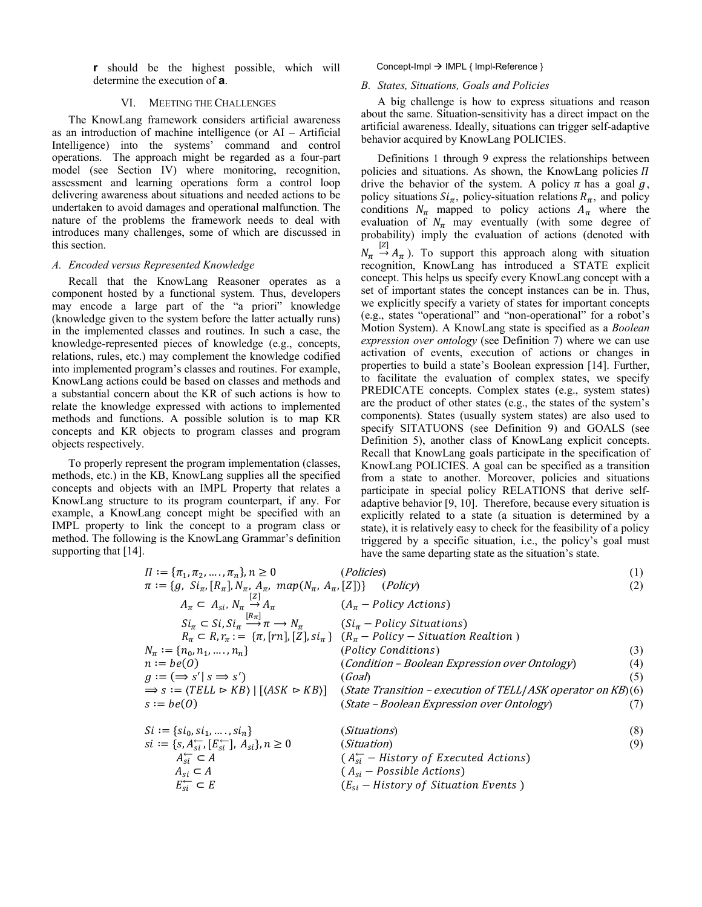**r** should be the highest possible, which will determine the execution of **a**.

## VI. MEETING THE CHALLENGES

The KnowLang framework considers artificial awareness as an introduction of machine intelligence (or AI – Artificial Intelligence) into the systems' command and control operations. The approach might be regarded as a four-part model (see Section IV) where monitoring, recognition, assessment and learning operations form a control loop delivering awareness about situations and needed actions to be undertaken to avoid damages and operational malfunction. The nature of the problems the framework needs to deal with introduces many challenges, some of which are discussed in this section.

## *A. Encoded versus Represented Knowledge*

Recall that the KnowLang Reasoner operates as a component hosted by a functional system. Thus, developers may encode a large part of the "a priori" knowledge (knowledge given to the system before the latter actually runs) in the implemented classes and routines. In such a case, the knowledge-represented pieces of knowledge (e.g., concepts, relations, rules, etc.) may complement the knowledge codified into implemented program's classes and routines. For example, KnowLang actions could be based on classes and methods and a substantial concern about the KR of such actions is how to relate the knowledge expressed with actions to implemented methods and functions. A possible solution is to map KR concepts and KR objects to program classes and program objects respectively.

To properly represent the program implementation (classes, methods, etc.) in the KB, KnowLang supplies all the specified concepts and objects with an IMPL Property that relates a KnowLang structure to its program counterpart, if any. For example, a KnowLang concept might be specified with an IMPL property to link the concept to a program class or method. The following is the KnowLang Grammar's definition supporting that [14].

Concept-Impl  $\rightarrow$  IMPL { Impl-Reference }

## *B. States, Situations, Goals and Policies*

A big challenge is how to express situations and reason about the same. Situation-sensitivity has a direct impact on the artificial awareness. Ideally, situations can trigger self-adaptive behavior acquired by KnowLang POLICIES.

Definitions 1 through 9 express the relationships between policies and situations. As shown, the KnowLang policies  $\Pi$ drive the behavior of the system. A policy  $\pi$  has a goal  $q$ , policy situations  $Si_{\pi}$ , policy-situation relations  $R_{\pi}$ , and policy conditions  $N_{\pi}$  mapped to policy actions  $A_{\pi}$  where the evaluation of  $N_{\pi}$  may eventually (with some degree of probability) imply the evaluation of actions (denoted with  $N_{\pi} \stackrel{[Z]}{\rightarrow} A_{\pi}$ ). To support this approach along with situation recognition, KnowLang has introduced a STATE explicit concept. This helps us specify every KnowLang concept with a set of important states the concept instances can be in. Thus, we explicitly specify a variety of states for important concepts (e.g., states "operational" and "non-operational" for a robot's Motion System). A KnowLang state is specified as a *Boolean expression over ontology* (see Definition 7) where we can use activation of events, execution of actions or changes in properties to build a state's Boolean expression [14]. Further, to facilitate the evaluation of complex states, we specify PREDICATE concepts. Complex states (e.g., system states) are the product of other states (e.g., the states of the system's components). States (usually system states) are also used to specify SITATUONS (see Definition 9) and GOALS (see Definition 5), another class of KnowLang explicit concepts. Recall that KnowLang goals participate in the specification of KnowLang POLICIES. A goal can be specified as a transition from a state to another. Moreover, policies and situations participate in special policy RELATIONS that derive selfadaptive behavior [9, 10]. Therefore, because every situation is explicitly related to a state (a situation is determined by a state), it is relatively easy to check for the feasibility of a policy triggered by a specific situation, i.e., the policy's goal must have the same departing state as the situation's state.

$$
\Pi := \{\pi_1, \pi_2, ..., \pi_n\}, n \ge 0
$$
 (*Polrices*) (1)  
\n
$$
\pi := \{g, Si_{\pi}, [R_{\pi}], N_{\pi}, A_{\pi}, map(N_{\pi}, A_{\pi}, [Z])\}
$$
 (*Policies*) (2)  
\n
$$
A_{\pi} \subset A_{si}, N_{\pi} \xrightarrow{\vert Z \vert}
$$
  $(A_{\pi} - Policy)$  *detors*)  
\n
$$
Si_{\pi} \subset Si, Si_{\pi} \xrightarrow{\vert R \vert}
$$
  $(A_{\pi} - Policy)$  *Station*.) (3)  
\n
$$
R_{\pi} \subset R, \tau_{\pi} := \{\pi, [rn], [Z], si_{\pi}\}
$$
  $(R_{\pi} - Policy - Situation, Realtion)$   
\n
$$
N_{\pi} := \{n_0, n_1, ..., n_n\}
$$
 (*Policy Conditions*) (1)  
\n
$$
g := (\Rightarrow s' \mid s \Rightarrow s')
$$
 (*Goal*)  
\n
$$
\Rightarrow s := \langle TELL \triangleright KB \rangle \mid [\langle ASK \triangleright KB \rangle]
$$
 (*State Transition - execution of TELL/ASK operator on KB*)(6)  
\n
$$
s := be(0)
$$
 (*State - Boolean Expression over Ontology*) (7)  
\n
$$
Si := \{si_0, si_1, ..., si_n\}
$$
 (*Situations*)  
\n
$$
si := \{s, A_{si}^{\prime} , [E_{si}^{\prime}], A_{si}\}, n \ge 0
$$
 (*Situations*)  
\n
$$
A_{si}^{\prime} \subset A
$$
  $(A_{si}^{\prime} - History of Executed Actions)$  (9)  
\n
$$
A_{si}^{\prime} \subset A
$$
  $(A_{si}^{\prime} - Poissible Actions)$   
\n
$$
E_{si}^{\prime} \subset E
$$
 (*Estive*) (*Station*) (9)